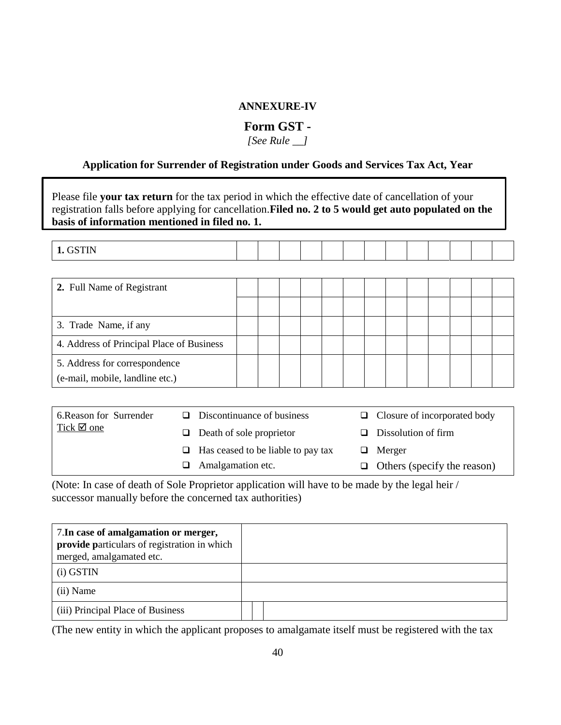#### **ANNEXURE-IV**

### **Form GST -**

*[See Rule \_\_]*

### **Application for Surrender of Registration under Goods and Services Tax Act, Year**

| Please file your tax return for the tax period in which the effective date of cancellation of your<br>registration falls before applying for cancellation. Filed no. 2 to 5 would get auto populated on the<br>basis of information mentioned in filed no. 1. |   |                            |                                    |   |  |                              |   |  |                     |  |  |  |  |  |  |
|---------------------------------------------------------------------------------------------------------------------------------------------------------------------------------------------------------------------------------------------------------------|---|----------------------------|------------------------------------|---|--|------------------------------|---|--|---------------------|--|--|--|--|--|--|
|                                                                                                                                                                                                                                                               |   |                            |                                    |   |  |                              |   |  |                     |  |  |  |  |  |  |
| 1. GSTIN                                                                                                                                                                                                                                                      |   |                            |                                    |   |  |                              |   |  |                     |  |  |  |  |  |  |
|                                                                                                                                                                                                                                                               |   |                            |                                    |   |  |                              |   |  |                     |  |  |  |  |  |  |
| 2. Full Name of Registrant                                                                                                                                                                                                                                    |   |                            |                                    |   |  |                              |   |  |                     |  |  |  |  |  |  |
|                                                                                                                                                                                                                                                               |   |                            |                                    |   |  |                              |   |  |                     |  |  |  |  |  |  |
| 3. Trade Name, if any                                                                                                                                                                                                                                         |   |                            |                                    |   |  |                              |   |  |                     |  |  |  |  |  |  |
| 4. Address of Principal Place of Business                                                                                                                                                                                                                     |   |                            |                                    |   |  |                              |   |  |                     |  |  |  |  |  |  |
| 5. Address for correspondence                                                                                                                                                                                                                                 |   |                            |                                    |   |  |                              |   |  |                     |  |  |  |  |  |  |
| (e-mail, mobile, landline etc.)                                                                                                                                                                                                                               |   |                            |                                    |   |  |                              |   |  |                     |  |  |  |  |  |  |
|                                                                                                                                                                                                                                                               |   |                            |                                    |   |  |                              |   |  |                     |  |  |  |  |  |  |
| 6. Reason for Surrender                                                                                                                                                                                                                                       | n | Discontinuance of business |                                    | ◻ |  | Closure of incorporated body |   |  |                     |  |  |  |  |  |  |
| Tick $\overline{\mathbf{Z}}$ one                                                                                                                                                                                                                              |   |                            | Death of sole proprietor           |   |  |                              | ш |  | Dissolution of firm |  |  |  |  |  |  |
|                                                                                                                                                                                                                                                               |   |                            | Has ceased to be liable to pay tax |   |  |                              |   |  | Merger              |  |  |  |  |  |  |

(Note: In case of death of Sole Proprietor application will have to be made by the legal heir / successor manually before the concerned tax authorities)

 $\Box$  Amalgamation etc.

| 7. In case of amalgamation or merger,<br>provide particulars of registration in which<br>merged, amalgamated etc. |  |  |
|-------------------------------------------------------------------------------------------------------------------|--|--|
| $(i)$ GSTIN                                                                                                       |  |  |
| (ii) Name                                                                                                         |  |  |
| (iii) Principal Place of Business                                                                                 |  |  |

Others (specify the reason)

1

(The new entity in which the applicant proposes to amalgamate itself must be registered with the tax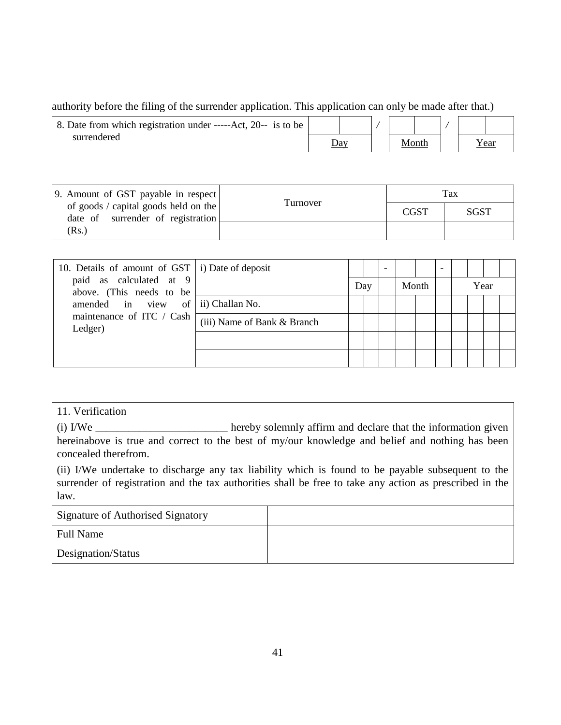## authority before the filing of the surrender application. This application can only be made after that.)

| 8. Date from which registration under -----Act, 20-- is to be |                   |  |       |  |      |
|---------------------------------------------------------------|-------------------|--|-------|--|------|
| surrendered                                                   | $\underline{Day}$ |  | Month |  | Year |

| 9. Amount of GST payable in respect                                       | Turnover | Tax         |             |  |  |  |  |
|---------------------------------------------------------------------------|----------|-------------|-------------|--|--|--|--|
| of goods / capital goods held on the<br>date of surrender of registration |          | <b>CGST</b> | <b>SGST</b> |  |  |  |  |
| (Rs.)                                                                     |          |             |             |  |  |  |  |

| 10. Details of amount of GST $\vert$ i) Date of deposit |                             |     |  |       |  | $\overline{\phantom{a}}$ |      |  |  |  |
|---------------------------------------------------------|-----------------------------|-----|--|-------|--|--------------------------|------|--|--|--|
| paid as calculated at 9<br>above. (This needs to be     |                             | Day |  | Month |  |                          | Year |  |  |  |
| amended in view of ii) Challan No.                      |                             |     |  |       |  |                          |      |  |  |  |
| maintenance of ITC / Cash<br>Ledger)                    | (iii) Name of Bank & Branch |     |  |       |  |                          |      |  |  |  |
|                                                         |                             |     |  |       |  |                          |      |  |  |  |
|                                                         |                             |     |  |       |  |                          |      |  |  |  |

# 11. Verification

(i) I/We \_\_\_\_\_\_\_\_\_\_\_\_\_\_\_\_\_\_\_\_\_\_\_\_ hereby solemnly affirm and declare that the information given hereinabove is true and correct to the best of my/our knowledge and belief and nothing has been concealed therefrom.

(ii) I/We undertake to discharge any tax liability which is found to be payable subsequent to the surrender of registration and the tax authorities shall be free to take any action as prescribed in the law.

| <b>Signature of Authorised Signatory</b> |  |
|------------------------------------------|--|
| <b>Full Name</b>                         |  |
| Designation/Status                       |  |